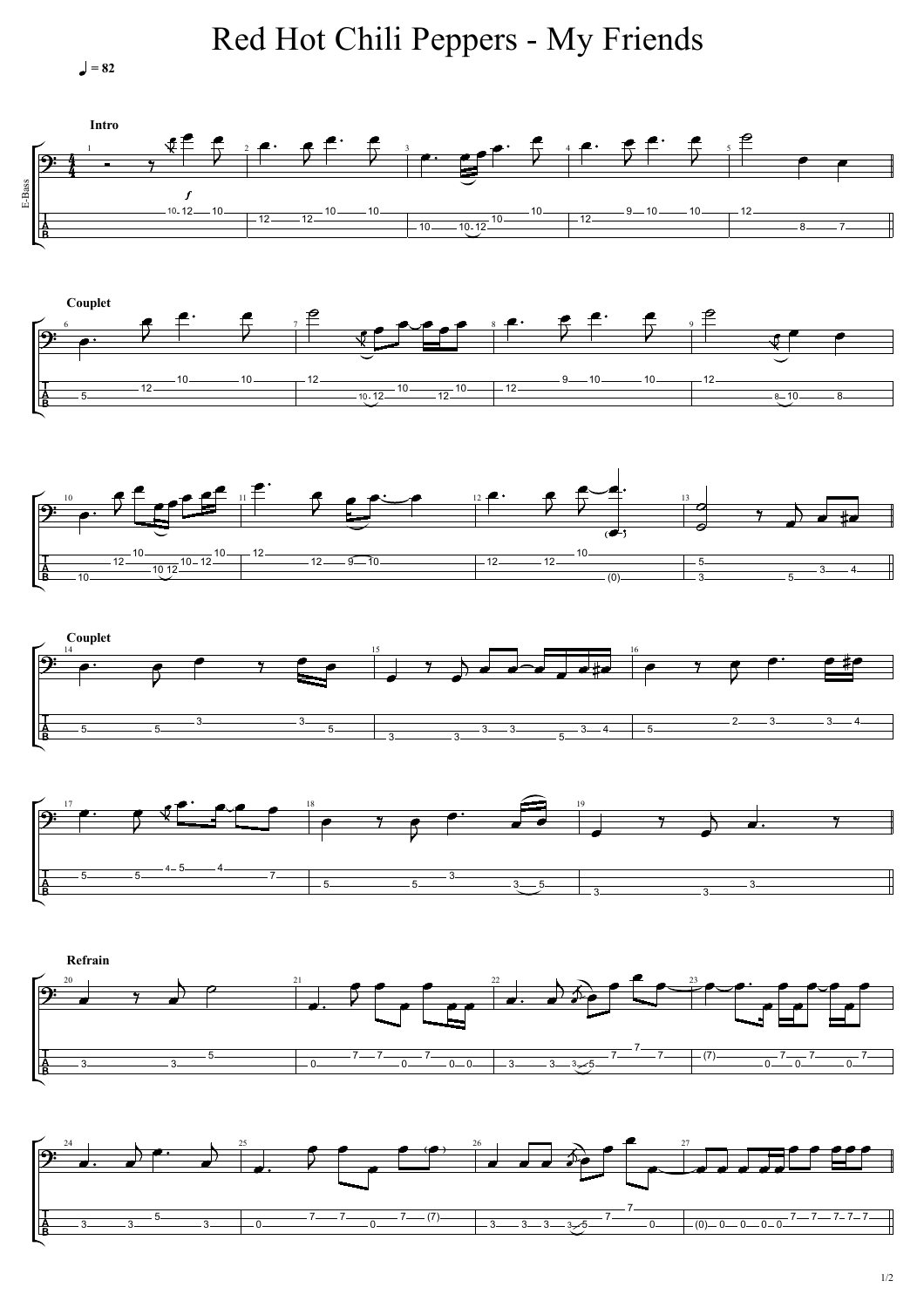$= 82$ 

Red Hot Chili Peppers - My Friends